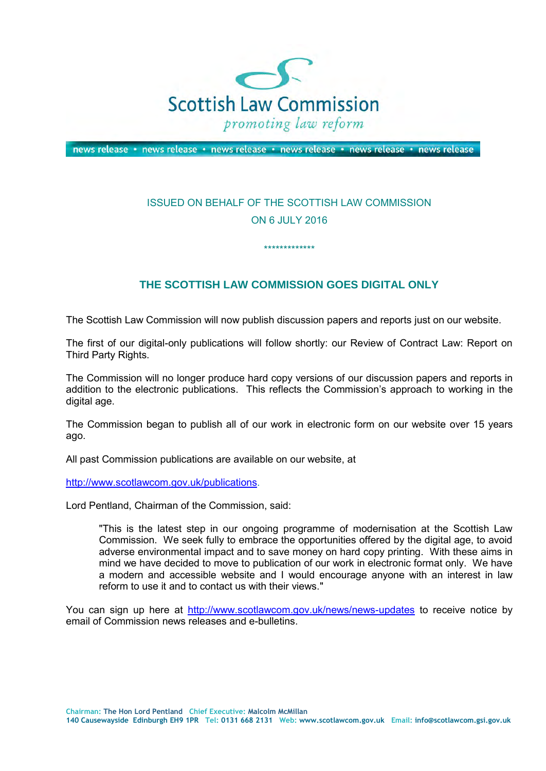

news release • news release • news release • news release • news release • news release

## ISSUED ON BEHALF OF THE SCOTTISH LAW COMMISSION ON 6 JULY 2016

\*\*\*\*\*\*\*\*\*\*\*\*\*

## **THE SCOTTISH LAW COMMISSION GOES DIGITAL ONLY**

The Scottish Law Commission will now publish discussion papers and reports just on our website.

The first of our digital-only publications will follow shortly: our Review of Contract Law: Report on Third Party Rights.

The Commission will no longer produce hard copy versions of our discussion papers and reports in addition to the electronic publications. This reflects the Commission's approach to working in the digital age.

The Commission began to publish all of our work in electronic form on our website over 15 years ago.

All past Commission publications are available on our website, at

[http://www.scotlawcom.gov.uk/publications.](http://www.scotlawcom.gov.uk/publications)

Lord Pentland, Chairman of the Commission, said:

"This is the latest step in our ongoing programme of modernisation at the Scottish Law Commission. We seek fully to embrace the opportunities offered by the digital age, to avoid adverse environmental impact and to save money on hard copy printing. With these aims in mind we have decided to move to publication of our work in electronic format only. We have a modern and accessible website and I would encourage anyone with an interest in law reform to use it and to contact us with their views."

You can sign up here at <http://www.scotlawcom.gov.uk/news/news-updates>to receive notice by email of Commission news releases and e-bulletins.